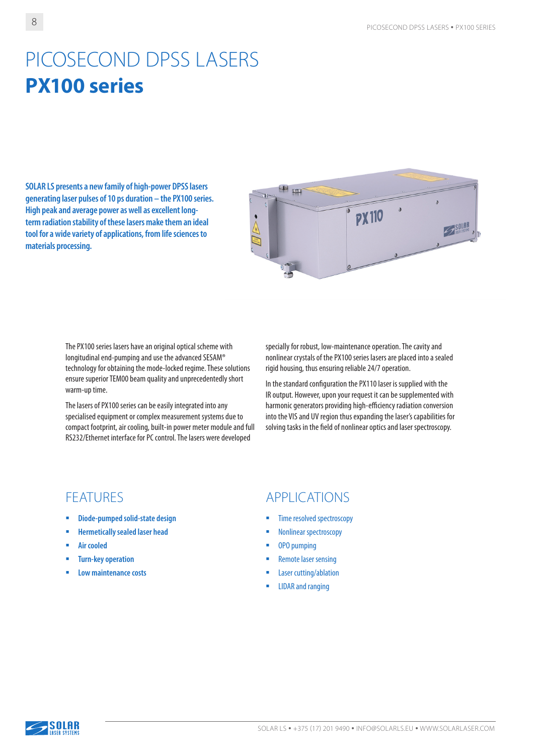# PICOSECOND DPSS LASERS **PX100 series**

**SOLAR LS presents a new family of high-power DPSS lasers generating laser pulses of 10 ps duration – the PX100 series. High peak and average power as well as excellent longterm radiation stability of these lasers make them an ideal tool for a wide variety of applications, from life sciences to materials processing.**



The PX100 series lasers have an original optical scheme with longitudinal end-pumping and use the advanced SESAM® technology for obtaining the mode-locked regime. These solutions ensure superior TEM00 beam quality and unprecedentedly short warm-up time.

The lasers of PX100 series can be easily integrated into any specialised equipment or complex measurement systems due to compact footprint, air cooling, built-in power meter module and full RS232/Ethernet interface for PC control. The lasers were developed

specially for robust, low-maintenance operation. The cavity and nonlinear crystals of the PX100 series lasers are placed into a sealed rigid housing, thus ensuring reliable 24/7 operation.

In the standard configuration the PX110 laser is supplied with the IR output. However, upon your request it can be supplemented with harmonic generators providing high-efficiency radiation conversion into the VIS and UV region thus expanding the laser's capabilities for solving tasks in the field of nonlinear optics and laser spectroscopy.

- **Diode-pumped solid-state design**
- **Hermetically sealed laser head**
- **Air cooled**
- **Turn-key operation**
- **Low maintenance costs**

#### FEATURES APPLICATIONS

- Time resolved spectroscopy
- **Nonlinear spectroscopy**
- OPO pumping
- **Remote laser sensing**
- Laser cutting/ablation
- LIDAR and ranging